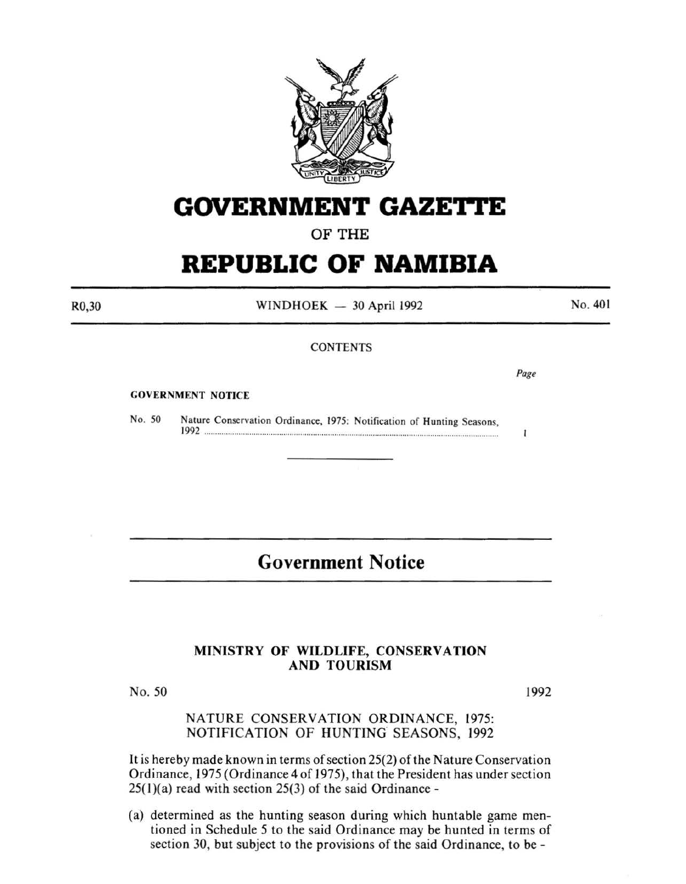

# **GOVERNMENT GAZETTE**

## OF THE

# **REPUBLIC OF NAMIBIA**

R0,30

 $WINDHOEK - 30$  April 1992

No. 401

#### **CONTENTS**

*Page* 

 $\mathbf{I}$ 

#### GOVERNMENT NOTICE

No. 50 Nature Conservation Ordinance, 1975: Notification of Hunting Seasons 1992 ......................................................................................................................................... :

# **Government Notice**

### MINISTRY OF WILDLIFE, CONSERVATION AND TOURISM

No. 50

1992

### NATURE CONSERVATION ORDINANCE, 1975: NOTIFICATION OF HUNTING SEASONS, 1992

It is hereby made known in terms of section 25(2) of the Nature Conservation Ordinance, 1975 (Ordinance 4 of 1975), that the President has under section  $25(1)(a)$  read with section  $25(3)$  of the said Ordinance -

(a) determined as the hunting season during which huntable game mentioned in Schedule 5 to the said Ordinance may be hunted in terms of section 30, but subject to the provisions of the said Ordinance, to be -